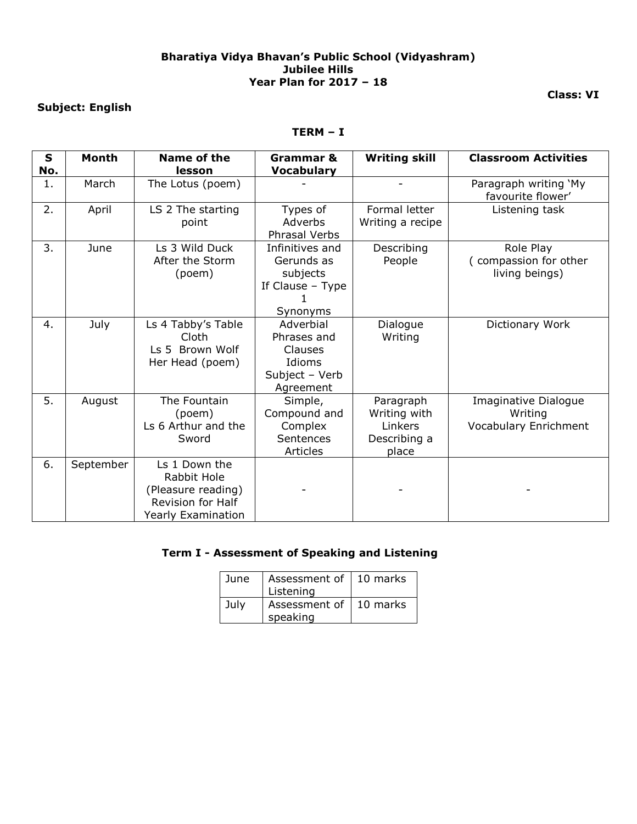#### **Bharatiya Vidya Bhavan's Public School (Vidyashram) Jubilee Hills Year Plan for 2017 – 18**

### **Subject: English**

#### **TERM – I**

| $\mathbf{s}$<br>No. | <b>Month</b> | Name of the<br>lesson                                                                                | <b>Grammar &amp;</b><br><b>Vocabulary</b>                                    | <b>Writing skill</b>                                          | <b>Classroom Activities</b>                              |
|---------------------|--------------|------------------------------------------------------------------------------------------------------|------------------------------------------------------------------------------|---------------------------------------------------------------|----------------------------------------------------------|
| 1.                  | March        | The Lotus (poem)                                                                                     |                                                                              |                                                               | Paragraph writing `My<br>favourite flower'               |
| 2.                  | April        | LS 2 The starting<br>point                                                                           | Types of<br>Adverbs<br>Phrasal Verbs                                         | Formal letter<br>Writing a recipe                             | Listening task                                           |
| 3.                  | June         | Ls 3 Wild Duck<br>After the Storm<br>(poem)                                                          | Infinitives and<br>Gerunds as<br>subjects<br>If Clause - Type<br>Synonyms    | Describing<br>People                                          | Role Play<br>(compassion for other<br>living beings)     |
| 4.                  | July         | Ls 4 Tabby's Table<br>Cloth<br>Ls 5 Brown Wolf<br>Her Head (poem)                                    | Adverbial<br>Phrases and<br>Clauses<br>Idioms<br>Subject - Verb<br>Agreement | Dialogue<br>Writing                                           | Dictionary Work                                          |
| 5.                  | August       | The Fountain<br>(poem)<br>Ls 6 Arthur and the<br>Sword                                               | Simple,<br>Compound and<br>Complex<br>Sentences<br><b>Articles</b>           | Paragraph<br>Writing with<br>Linkers<br>Describing a<br>place | Imaginative Dialogue<br>Writing<br>Vocabulary Enrichment |
| 6.                  | September    | Ls 1 Down the<br>Rabbit Hole<br>(Pleasure reading)<br><b>Revision for Half</b><br>Yearly Examination |                                                                              |                                                               |                                                          |

### **Term I - Assessment of Speaking and Listening**

| June | Assessment of   10 marks<br>Listening |  |
|------|---------------------------------------|--|
| July | Assessment of   10 marks<br>speaking  |  |

**Class: VI**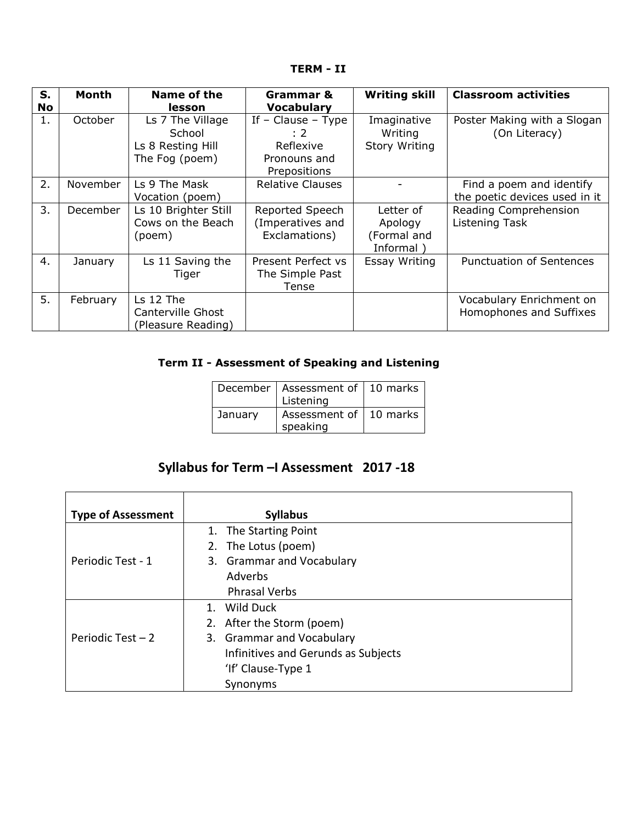**TERM - II**

| S. | Month    | Name of the                                                       | Grammar &                                                                  | <b>Writing skill</b>                             | <b>Classroom activities</b>                               |
|----|----------|-------------------------------------------------------------------|----------------------------------------------------------------------------|--------------------------------------------------|-----------------------------------------------------------|
| No |          | lesson                                                            | <b>Vocabulary</b>                                                          |                                                  |                                                           |
| 1. | October  | Ls 7 The Village<br>School<br>Ls 8 Resting Hill<br>The Fog (poem) | If $-$ Clause $-$ Type<br>: 2<br>Reflexive<br>Pronouns and<br>Prepositions | Imaginative<br>Writing<br><b>Story Writing</b>   | Poster Making with a Slogan<br>(On Literacy)              |
| 2. | November | Ls 9 The Mask<br>Vocation (poem)                                  | <b>Relative Clauses</b>                                                    |                                                  | Find a poem and identify<br>the poetic devices used in it |
| 3. | December | Ls 10 Brighter Still<br>Cows on the Beach<br>(poem)               | Reported Speech<br>(Imperatives and<br>Exclamations)                       | Letter of<br>Apology<br>(Formal and<br>Informal) | Reading Comprehension<br>Listening Task                   |
| 4. | January  | Ls 11 Saving the<br>Tiger                                         | Present Perfect vs<br>The Simple Past<br>Tense                             | Essay Writing                                    | <b>Punctuation of Sentences</b>                           |
| 5. | February | Ls 12 The<br>Canterville Ghost<br>(Pleasure Reading)              |                                                                            |                                                  | Vocabulary Enrichment on<br>Homophones and Suffixes       |

## **Term II - Assessment of Speaking and Listening**

|         | December   Assessment of   10 marks  <br>Listening |  |
|---------|----------------------------------------------------|--|
| January | Assessment of   10 marks  <br>speaking             |  |

# **Syllabus for Term –I Assessment 2017 -18**

| <b>Type of Assessment</b> | <b>Syllabus</b>                     |
|---------------------------|-------------------------------------|
|                           | 1. The Starting Point               |
|                           | 2. The Lotus (poem)                 |
| Periodic Test - 1         | 3. Grammar and Vocabulary           |
|                           | Adverbs                             |
|                           | <b>Phrasal Verbs</b>                |
|                           | 1. Wild Duck                        |
|                           | 2. After the Storm (poem)           |
| Periodic Test $-2$        | 3. Grammar and Vocabulary           |
|                           | Infinitives and Gerunds as Subjects |
|                           | 'If' Clause-Type 1                  |
|                           | Synonyms                            |